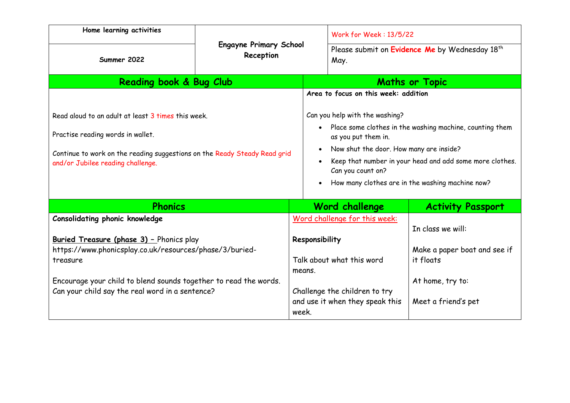| Home learning activities                                                                                                                                                                                                                                                               | <b>Engayne Primary School</b><br>Reception |                                      | Work for Week: 13/5/22                                                                                                                                                       |                                                                                                           |  |
|----------------------------------------------------------------------------------------------------------------------------------------------------------------------------------------------------------------------------------------------------------------------------------------|--------------------------------------------|--------------------------------------|------------------------------------------------------------------------------------------------------------------------------------------------------------------------------|-----------------------------------------------------------------------------------------------------------|--|
| Summer 2022                                                                                                                                                                                                                                                                            |                                            |                                      | Please submit on Evidence Me by Wednesday 18 <sup>th</sup><br>May.                                                                                                           |                                                                                                           |  |
| Reading book & Bug Club                                                                                                                                                                                                                                                                |                                            |                                      | <b>Maths or Topic</b>                                                                                                                                                        |                                                                                                           |  |
|                                                                                                                                                                                                                                                                                        |                                            | Area to focus on this week: addition |                                                                                                                                                                              |                                                                                                           |  |
| Read aloud to an adult at least 3 times this week.                                                                                                                                                                                                                                     |                                            |                                      | Can you help with the washing?                                                                                                                                               |                                                                                                           |  |
| Practise reading words in wallet.                                                                                                                                                                                                                                                      |                                            |                                      | • Place some clothes in the washing machine, counting them<br>as you put them in.                                                                                            |                                                                                                           |  |
| Continue to work on the reading suggestions on the Ready Steady Read grid<br>and/or Jubilee reading challenge.                                                                                                                                                                         |                                            |                                      | Now shut the door. How many are inside?<br>Keep that number in your head and add some more clothes.<br>Can you count on?<br>How many clothes are in the washing machine now? |                                                                                                           |  |
| <b>Phonics</b>                                                                                                                                                                                                                                                                         |                                            |                                      | Word challenge                                                                                                                                                               | <b>Activity Passport</b>                                                                                  |  |
| <b>Consolidating phonic knowledge</b><br><b>Buried Treasure (phase 3) - Phonics play</b><br>https://www.phonicsplay.co.uk/resources/phase/3/buried-<br>treasure<br>Encourage your child to blend sounds together to read the words.<br>Can your child say the real word in a sentence? | means.<br>week.                            |                                      | Word challenge for this week:<br>Responsibility<br>Talk about what this word<br>Challenge the children to try<br>and use it when they speak this                             | In class we will:<br>Make a paper boat and see if<br>it floats<br>At home, try to:<br>Meet a friend's pet |  |